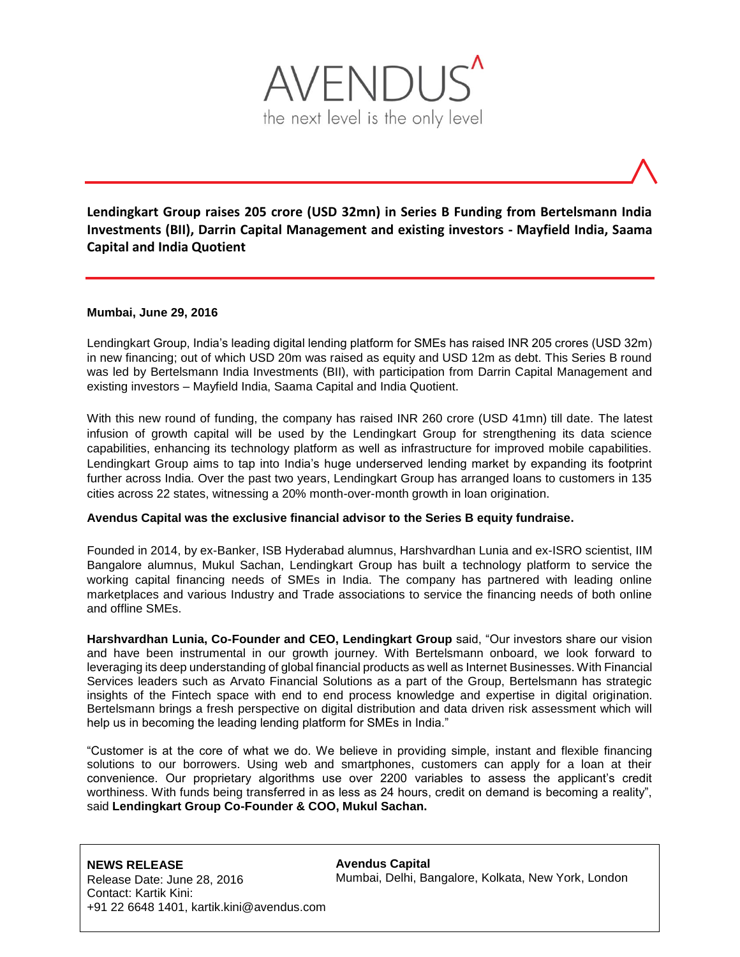

**Lendingkart Group raises 205 crore (USD 32mn) in Series B Funding from Bertelsmann India Investments (BII), Darrin Capital Management and existing investors - Mayfield India, Saama Capital and India Quotient**

# **Mumbai, June 29, 2016**

Lendingkart Group, India's leading digital lending platform for SMEs has raised INR 205 crores (USD 32m) in new financing; out of which USD 20m was raised as equity and USD 12m as debt. This Series B round was led by Bertelsmann India Investments (BII), with participation from Darrin Capital Management and existing investors – Mayfield India, Saama Capital and India Quotient.

With this new round of funding, the company has raised INR 260 crore (USD 41mn) till date. The latest infusion of growth capital will be used by the Lendingkart Group for strengthening its data science capabilities, enhancing its technology platform as well as infrastructure for improved mobile capabilities. Lendingkart Group aims to tap into India's huge underserved lending market by expanding its footprint further across India. Over the past two years, Lendingkart Group has arranged loans to customers in 135 cities across 22 states, witnessing a 20% month-over-month growth in loan origination.

# **Avendus Capital was the exclusive financial advisor to the Series B equity fundraise.**

Founded in 2014, by ex-Banker, ISB Hyderabad alumnus, Harshvardhan Lunia and ex-ISRO scientist, IIM Bangalore alumnus, Mukul Sachan, Lendingkart Group has built a technology platform to service the working capital financing needs of SMEs in India. The company has partnered with leading online marketplaces and various Industry and Trade associations to service the financing needs of both online and offline SMEs.

**Harshvardhan Lunia, Co-Founder and CEO, Lendingkart Group** said, "Our investors share our vision and have been instrumental in our growth journey. With Bertelsmann onboard, we look forward to leveraging its deep understanding of global financial products as well as Internet Businesses. With Financial Services leaders such as Arvato Financial Solutions as a part of the Group, Bertelsmann has strategic insights of the Fintech space with end to end process knowledge and expertise in digital origination. Bertelsmann brings a fresh perspective on digital distribution and data driven risk assessment which will help us in becoming the leading lending platform for SMEs in India."

"Customer is at the core of what we do. We believe in providing simple, instant and flexible financing solutions to our borrowers. Using web and smartphones, customers can apply for a loan at their convenience. Our proprietary algorithms use over 2200 variables to assess the applicant's credit worthiness. With funds being transferred in as less as 24 hours, credit on demand is becoming a reality", said **Lendingkart Group Co-Founder & COO, Mukul Sachan.**

**Avendus Capital** Mumbai, Delhi, Bangalore, Kolkata, New York, London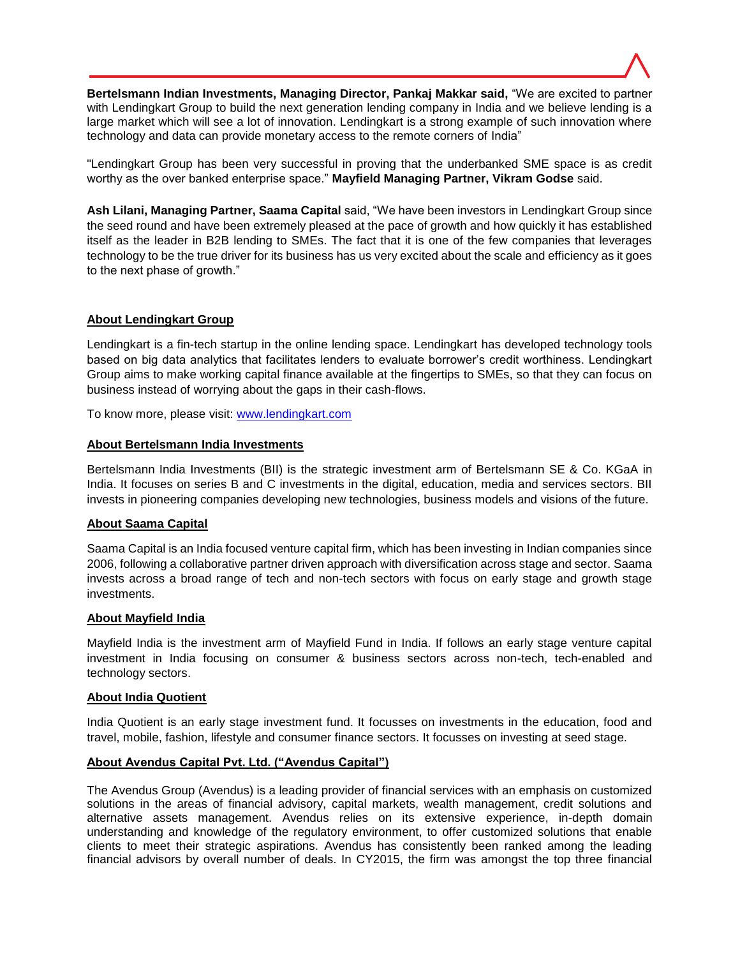

**Bertelsmann Indian Investments, Managing Director, Pankaj Makkar said,** "We are excited to partner with Lendingkart Group to build the next generation lending company in India and we believe lending is a large market which will see a lot of innovation. Lendingkart is a strong example of such innovation where technology and data can provide monetary access to the remote corners of India"

"Lendingkart Group has been very successful in proving that the underbanked SME space is as credit worthy as the over banked enterprise space." **Mayfield Managing Partner, Vikram Godse** said.

**Ash Lilani, Managing Partner, Saama Capital** said, "We have been investors in Lendingkart Group since the seed round and have been extremely pleased at the pace of growth and how quickly it has established itself as the leader in B2B lending to SMEs. The fact that it is one of the few companies that leverages technology to be the true driver for its business has us very excited about the scale and efficiency as it goes to the next phase of growth."

# **About Lendingkart Group**

Lendingkart is a fin-tech startup in the online lending space. Lendingkart has developed technology tools based on big data analytics that facilitates lenders to evaluate borrower's credit worthiness. Lendingkart Group aims to make working capital finance available at the fingertips to SMEs, so that they can focus on business instead of worrying about the gaps in their cash-flows.

To know more, please visit: [www.lendingkart.com](http://www.lendingkart.com/)

# **About Bertelsmann India Investments**

Bertelsmann India Investments (BII) is the strategic investment arm of Bertelsmann SE & Co. KGaA in India. It focuses on series B and C investments in the digital, education, media and services sectors. BII invests in pioneering companies developing new technologies, business models and visions of the future.

# **About Saama Capital**

Saama Capital is an India focused venture capital firm, which has been investing in Indian companies since 2006, following a collaborative partner driven approach with diversification across stage and sector. Saama invests across a broad range of tech and non-tech sectors with focus on early stage and growth stage investments.

# **About Mayfield India**

Mayfield India is the investment arm of Mayfield Fund in India. If follows an early stage venture capital investment in India focusing on consumer & business sectors across non-tech, tech-enabled and technology sectors.

# **About India Quotient**

India Quotient is an early stage investment fund. It focusses on investments in the education, food and travel, mobile, fashion, lifestyle and consumer finance sectors. It focusses on investing at seed stage.

# **About Avendus Capital Pvt. Ltd. ("Avendus Capital")**

The Avendus Group (Avendus) is a leading provider of financial services with an emphasis on customized solutions in the areas of financial advisory, capital markets, wealth management, credit solutions and alternative assets management. Avendus relies on its extensive experience, in-depth domain understanding and knowledge of the regulatory environment, to offer customized solutions that enable clients to meet their strategic aspirations. Avendus has consistently been ranked among the leading financial advisors by overall number of deals. In CY2015, the firm was amongst the top three financial